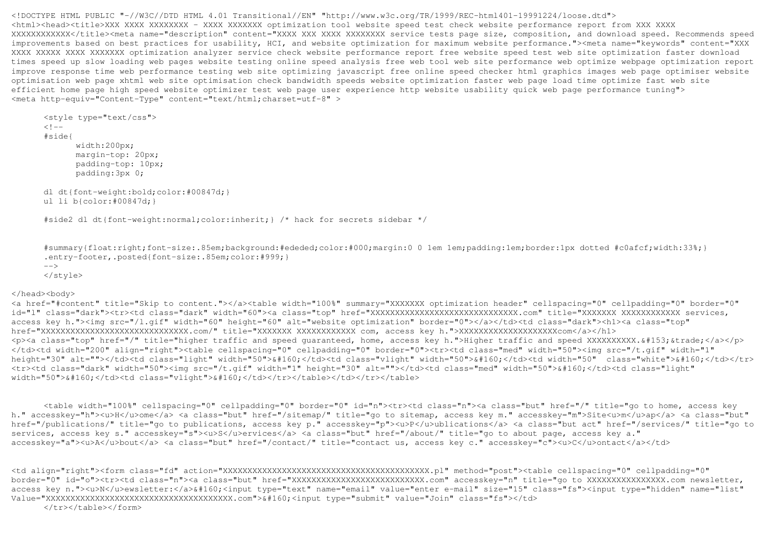<!DOCTYPE HTML PUBLIC "-//W3C//DTD HTML 4.01 Transitional//EN" "http://www.w3c.org/TR/1999/REC-html401-19991224/loose.dtd"> <html><head><title>XXX XXXX XXXXXXXX - XXXX XXXXXXX optimization tool website speed test check website performance report from XXX XXXX XXXXXXXXXXXX</title><meta name="description" content="XXXX XXX XXXX XXXXXXXX service tests page size, composition, and download speed. Recommends speed improvements based on best practices for usability, HCI, and website optimization for maximum website performance."><meta name="keywords" content="XXX XXXX XXXXX XXXX XXXXXXX optimization analyzer service check website performance report free website speed test web site optimization faster download times speed up slow loading web pages website testing online speed analysis free web tool web site performance web optimize webpage optimization report improve response time web performance testing web site optimizing javascript free online speed checker html graphics images web page optimiser website optimisation web page xhtml web site optimisation check bandwidth speeds website optimization faster web page load time optimize fast web site efficient home page high speed website optimizer test web page user experience http website usability quick web page performance tuning"> <meta http-equiv="Content-Type" content="text/html;charset=utf-8" >

```
 <style type="text/css"> <! -
 #side{ width:200px;
margin-top: 20px;

 padding-top: 10px;  padding:3px 0;  dl dt{font-weight:bold;color:#00847d;}  ul li b{color:#00847d;}
```
#side2 dl dt{font-weight:normal;color:inherit;} /\* hack for secrets sidebar \*/

 #summary{float:right;font-size:.85em;background:#ededed;color:#000;margin:0 0 1em 1em;padding:1em;border:1px dotted #c0afcf;width:33%;} .entry-footer,.posted{font-size:.85em;color:#999;} $--&>$ 

</style>

## </head><body>

 <a href="#content" title="Skip to content."></a><table width="100%" summary="XXXXXXX optimization header" cellspacing="0" cellpadding="0" border="0" id="l" class="dark"><tr><td class="dark" width="60"><a class="top" href="XXXXXXXXXXXXXXXXXXXXXXXXXXXXXX.com" title="XXXXXXX XXXXXXXXXXXX services, access key h."><img src="/l.gif" width="60" height="60" alt="website optimization" border="0"></a></td><td class="dark"><h1><a class="top" href="XXXXXXXXXXXXXXXXXXXXXXXXXXXXXX.com/" title="XXXXXXX XXXXXXXXXXXX com, access key h.">XXXXXXXXXXXXXXXXXXXXcom</a></h1> <p><a class="top" href="/" title="higher traffic and speed guaranteed, home, access key h.">Higher traffic and speed XXXXXXXXXX.&#153;&trade;</a></p> </td><td width="200" align="right"><table cellspacing="0" cellpadding="0" border="0"><tr><td class="med" width="50"><img src="/t.gif" width="1" height="30" alt=""></td><td class="light" width="50">&#160;</td><td class="vlight" width="50">&#160;</td><td width="50" class="white">&#160;</td></tr><tr><td class="dark" width="50"><img src="/t.gif" width="1" height="30" alt=""></td><td class="med" width="50">&#160;</td><td class="light" width="50">&#160:</td><td class="vlight">&#160:</td></td></table></td></tab</table>

 <table width="100%" cellspacing="0" cellpadding="0" border="0" id="n"><tr><td class="n"><a class="but" href="/" title="go to home, access key h." accesskey="h"><u>H</u>ome</a> <a class="but" href="/sitemap/" title="go to sitemap, access key m." accesskey="m">Site<u>m</u>ap</a> <a class="but" href="/publications/" title="go to publications, access key p." accesskey="p"><u>P</u>ublications</a> <a class="but act" href="/services/" title="go to services, access key s." accesskey="s"><u>S</u>ervices</a> <a class="but" href="/about/" title="go to about page, access key a." accesskey="a"><u>A</u>bout</a> <a class="but" href="/contact/" title="contact us, access key c." accesskey="c"><u>C</u>ontact</a></td>

<td align="right"><form class="fd" action="XXXXXXXXXXXXXXXXXXXXXXXXXXXXXXXXXXXXXXXXXX.pl" method="post"><table cellspacing="0" cellpadding="0" border="0" id="o"><tr><td class="n"><a class="but" href="XXXXXXXXXXXXXXXXXXXXXXXXXXX.com" accesskey="n" title="go to XXXXXXXXXXXXXXXX.com newsletter, access key n."><u>N</u>ewsletter:</a>&#160;<input type="text" name="email" value="enter e-mail" size="15" class="fs"><input type="hidden" name="list" Value="XXXXXXXXXXXXXXXXXXXXXXXXXXXXXXXXXXXXXX.com">&#160;<input type="submit" value="Join" class="fs"></td>

</tr></table></form>